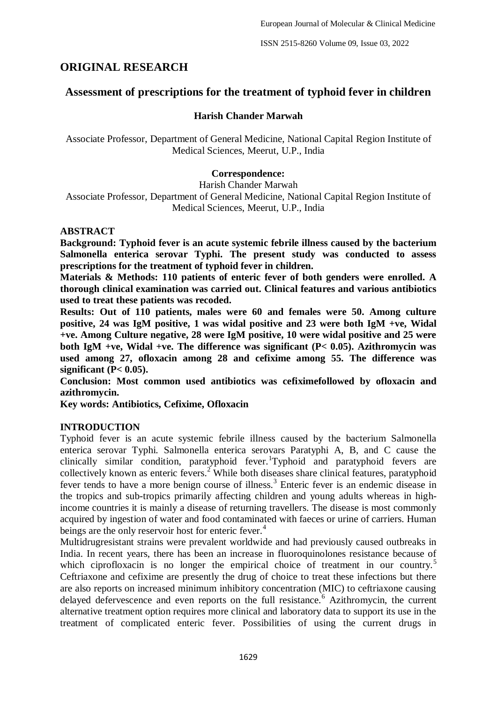# **ORIGINAL RESEARCH**

# **Assessment of prescriptions for the treatment of typhoid fever in children**

# **Harish Chander Marwah**

Associate Professor, Department of General Medicine, National Capital Region Institute of Medical Sciences, Meerut, U.P., India

# **Correspondence:**

Harish Chander Marwah Associate Professor, Department of General Medicine, National Capital Region Institute of Medical Sciences, Meerut, U.P., India

### **ABSTRACT**

**Background: Typhoid fever is an acute systemic febrile illness caused by the bacterium Salmonella enterica serovar Typhi. The present study was conducted to assess prescriptions for the treatment of typhoid fever in children.**

**Materials & Methods: 110 patients of enteric fever of both genders were enrolled. A thorough clinical examination was carried out. Clinical features and various antibiotics used to treat these patients was recoded.**

**Results: Out of 110 patients, males were 60 and females were 50. Among culture positive, 24 was IgM positive, 1 was widal positive and 23 were both IgM +ve, Widal +ve. Among Culture negative, 28 were IgM positive, 10 were widal positive and 25 were both IgM +ve, Widal +ve. The difference was significant (P< 0.05). Azithromycin was used among 27, ofloxacin among 28 and cefixime among 55. The difference was significant (P< 0.05).**

**Conclusion: Most common used antibiotics was cefiximefollowed by ofloxacin and azithromycin.**

**Key words: Antibiotics, Cefixime, Ofloxacin**

# **INTRODUCTION**

Typhoid fever is an acute systemic febrile illness caused by the bacterium Salmonella enterica serovar Typhi. Salmonella enterica serovars Paratyphi A, B, and C cause the clinically similar condition, paratyphoid fever. Typhoid and paratyphoid fevers are collectively known as enteric fevers.<sup>2</sup> While both diseases share clinical features, paratyphoid fever tends to have a more benign course of illness.<sup>3</sup> Enteric fever is an endemic disease in the tropics and sub-tropics primarily affecting children and young adults whereas in highincome countries it is mainly a disease of returning travellers. The disease is most commonly acquired by ingestion of water and food contaminated with faeces or urine of carriers. Human beings are the only reservoir host for enteric fever.<sup>4</sup>

Multidrugresistant strains were prevalent worldwide and had previously caused outbreaks in India. In recent years, there has been an increase in fluoroquinolones resistance because of which ciprofloxacin is no longer the empirical choice of treatment in our country.<sup>5</sup> Ceftriaxone and cefixime are presently the drug of choice to treat these infections but there are also reports on increased minimum inhibitory concentration (MIC) to ceftriaxone causing delayed defervescence and even reports on the full resistance.<sup> $\frac{6}{3}$ </sup> Azithromycin, the current alternative treatment option requires more clinical and laboratory data to support its use in the treatment of complicated enteric fever. Possibilities of using the current drugs in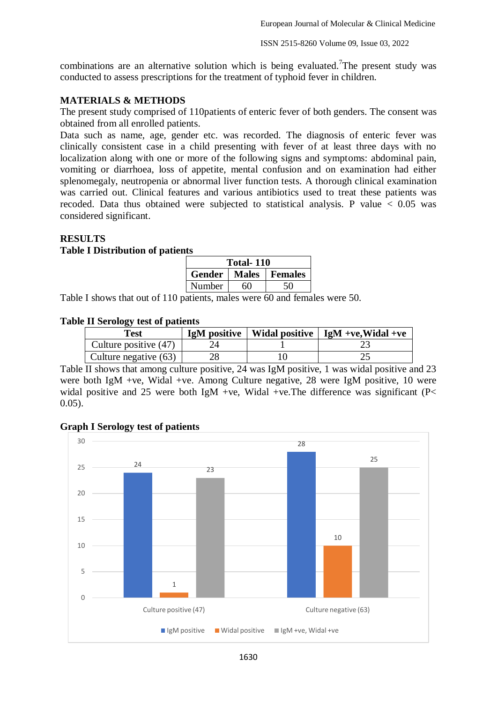European Journal of Molecular & Clinical Medicine

combinations are an alternative solution which is being evaluated. The present study was conducted to assess prescriptions for the treatment of typhoid fever in children.

## **MATERIALS & METHODS**

The present study comprised of 110patients of enteric fever of both genders. The consent was obtained from all enrolled patients.

Data such as name, age, gender etc. was recorded. The diagnosis of enteric fever was clinically consistent case in a child presenting with fever of at least three days with no localization along with one or more of the following signs and symptoms: abdominal pain, vomiting or diarrhoea, loss of appetite, mental confusion and on examination had either splenomegaly, neutropenia or abnormal liver function tests. A thorough clinical examination was carried out. Clinical features and various antibiotics used to treat these patients was recoded. Data thus obtained were subjected to statistical analysis. P value  $< 0.05$  was considered significant.

### **RESULTS**

#### **Table I Distribution of patients**

| Total-110 |    |                          |  |  |
|-----------|----|--------------------------|--|--|
|           |    | Gender   Males   Females |  |  |
| Number    | 60 |                          |  |  |

Table I shows that out of 110 patients, males were 60 and females were 50.

#### **Table II Serology test of patients**

| $-$<br>Test           |  | IgM positive   Widal positive   IgM +ve, Widal +ve |
|-----------------------|--|----------------------------------------------------|
| Culture positive (47) |  |                                                    |
| Culture negative (63) |  |                                                    |

Table II shows that among culture positive, 24 was IgM positive, 1 was widal positive and 23 were both IgM +ve, Widal +ve. Among Culture negative, 28 were IgM positive, 10 were widal positive and 25 were both IgM +ve. Widal +ve. The difference was significant ( $P<$ 0.05).

### **Graph I Serology test of patients**

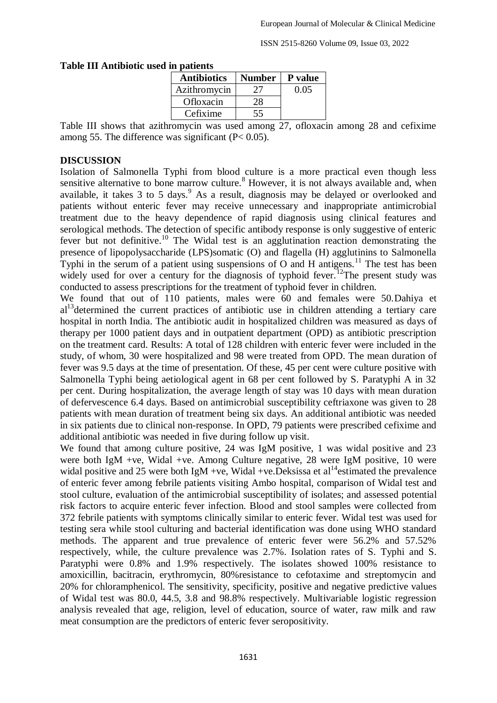| ш vautus           |               |         |  |  |
|--------------------|---------------|---------|--|--|
| <b>Antibiotics</b> | <b>Number</b> | P value |  |  |
| Azithromycin       | 27            | 0.05    |  |  |
| Ofloxacin          | 28            |         |  |  |
| Cefixime           | 55            |         |  |  |

#### **Table III Antibiotic used in patients**

Table III shows that azithromycin was used among 27, ofloxacin among 28 and cefixime among 55. The difference was significant (P< 0.05).

### **DISCUSSION**

Isolation of Salmonella Typhi from blood culture is a more practical even though less sensitive alternative to bone marrow culture.<sup>8</sup> However, it is not always available and, when available, it takes  $3$  to  $5$  days.<sup>9</sup> As a result, diagnosis may be delayed or overlooked and patients without enteric fever may receive unnecessary and inappropriate antimicrobial treatment due to the heavy dependence of rapid diagnosis using clinical features and serological methods. The detection of specific antibody response is only suggestive of enteric fever but not definitive.<sup>10</sup> The Widal test is an agglutination reaction demonstrating the presence of lipopolysaccharide (LPS)somatic (O) and flagella (H) agglutinins to Salmonella Typhi in the serum of a patient using suspensions of O and H antigens.<sup>11</sup> The test has been widely used for over a century for the diagnosis of typhoid fever.<sup>12</sup>The present study was conducted to assess prescriptions for the treatment of typhoid fever in children.

We found that out of 110 patients, males were 60 and females were 50.Dahiya et  $al<sup>13</sup>$  determined the current practices of antibiotic use in children attending a tertiary care hospital in north India. The antibiotic audit in hospitalized children was measured as days of therapy per 1000 patient days and in outpatient department (OPD) as antibiotic prescription on the treatment card. Results: A total of 128 children with enteric fever were included in the study, of whom, 30 were hospitalized and 98 were treated from OPD. The mean duration of fever was 9.5 days at the time of presentation. Of these, 45 per cent were culture positive with Salmonella Typhi being aetiological agent in 68 per cent followed by S. Paratyphi A in 32 per cent. During hospitalization, the average length of stay was 10 days with mean duration of defervescence 6.4 days. Based on antimicrobial susceptibility ceftriaxone was given to 28 patients with mean duration of treatment being six days. An additional antibiotic was needed in six patients due to clinical non-response. In OPD, 79 patients were prescribed cefixime and additional antibiotic was needed in five during follow up visit.

We found that among culture positive, 24 was IgM positive, 1 was widal positive and 23 were both IgM +ve, Widal +ve. Among Culture negative, 28 were IgM positive, 10 were widal positive and 25 were both IgM +ve, Widal +ve. Deksissa et al<sup>14</sup>estimated the prevalence of enteric fever among febrile patients visiting Ambo hospital, comparison of Widal test and stool culture, evaluation of the antimicrobial susceptibility of isolates; and assessed potential risk factors to acquire enteric fever infection. Blood and stool samples were collected from 372 febrile patients with symptoms clinically similar to enteric fever. Widal test was used for testing sera while stool culturing and bacterial identification was done using WHO standard methods. The apparent and true prevalence of enteric fever were 56.2% and 57.52% respectively, while, the culture prevalence was 2.7%. Isolation rates of S. Typhi and S. Paratyphi were 0.8% and 1.9% respectively. The isolates showed 100% resistance to amoxicillin, bacitracin, erythromycin, 80%resistance to cefotaxime and streptomycin and 20% for chloramphenicol. The sensitivity, specificity, positive and negative predictive values of Widal test was 80.0, 44.5, 3.8 and 98.8% respectively. Multivariable logistic regression analysis revealed that age, religion, level of education, source of water, raw milk and raw meat consumption are the predictors of enteric fever seropositivity.